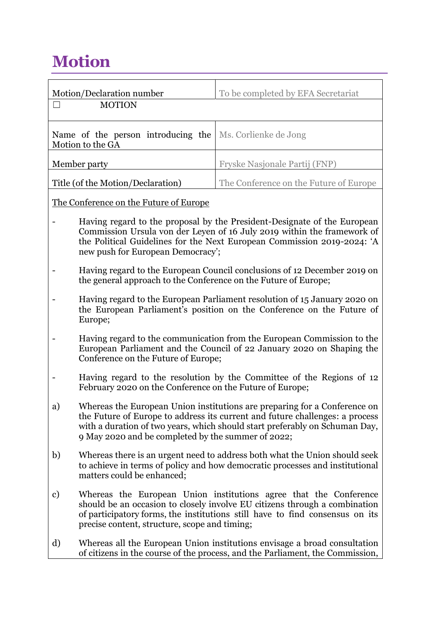## **Motion**

|                                                        | Motion/Declaration number<br><b>MOTION</b>                                                                                                                                                                                                                                                     | To be completed by EFA Secretariat     |  |
|--------------------------------------------------------|------------------------------------------------------------------------------------------------------------------------------------------------------------------------------------------------------------------------------------------------------------------------------------------------|----------------------------------------|--|
|                                                        |                                                                                                                                                                                                                                                                                                |                                        |  |
| Name of the person introducing the<br>Motion to the GA |                                                                                                                                                                                                                                                                                                | Ms. Corlienke de Jong                  |  |
| Member party                                           |                                                                                                                                                                                                                                                                                                | Fryske Nasjonale Partij (FNP)          |  |
| Title (of the Motion/Declaration)                      |                                                                                                                                                                                                                                                                                                | The Conference on the Future of Europe |  |
| The Conference on the Future of Europe                 |                                                                                                                                                                                                                                                                                                |                                        |  |
|                                                        | Having regard to the proposal by the President-Designate of the European<br>Commission Ursula von der Leyen of 16 July 2019 within the framework of<br>the Political Guidelines for the Next European Commission 2019-2024: 'A<br>new push for European Democracy';                            |                                        |  |
|                                                        | Having regard to the European Council conclusions of 12 December 2019 on<br>the general approach to the Conference on the Future of Europe;                                                                                                                                                    |                                        |  |
|                                                        | Having regard to the European Parliament resolution of 15 January 2020 on<br>the European Parliament's position on the Conference on the Future of<br>Europe;                                                                                                                                  |                                        |  |
|                                                        | Having regard to the communication from the European Commission to the<br>European Parliament and the Council of 22 January 2020 on Shaping the<br>Conference on the Future of Europe;                                                                                                         |                                        |  |
|                                                        | Having regard to the resolution by the Committee of the Regions of 12<br>February 2020 on the Conference on the Future of Europe;                                                                                                                                                              |                                        |  |
| a)                                                     | Whereas the European Union institutions are preparing for a Conference on<br>the Future of Europe to address its current and future challenges: a process<br>with a duration of two years, which should start preferably on Schuman Day,<br>9 May 2020 and be completed by the summer of 2022; |                                        |  |
| b)                                                     | Whereas there is an urgent need to address both what the Union should seek<br>to achieve in terms of policy and how democratic processes and institutional<br>matters could be enhanced;                                                                                                       |                                        |  |

- c) Whereas the European Union institutions agree that the Conference should be an occasion to closely involve EU citizens through a combination of participatory forms, the institutions still have to find consensus on its precise content, structure, scope and timing;
- d) Whereas all the European Union institutions envisage a broad consultation of citizens in the course of the process, and the Parliament, the Commission,